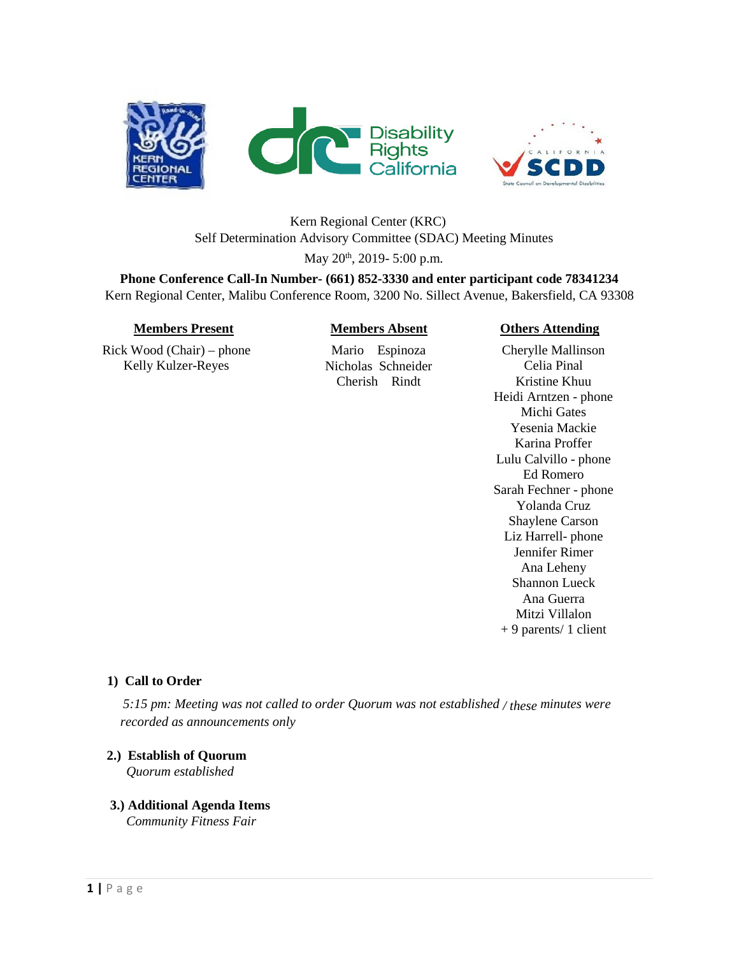



# Kern Regional Center (KRC) Self Determination Advisory Committee (SDAC) Meeting Minutes

May 20<sup>th</sup>, 2019- 5:00 p.m.

**Phone Conference Call-In Number- (661) 852-3330 and enter participant code 78341234** Kern Regional Center, Malibu Conference Room, 3200 No. Sillect Avenue, Bakersfield, CA 93308

Rick Wood (Chair) – phone Kelly Kulzer-Reyes

## **Members Present Members Absent Others Attending**

Mario Espinoza Nicholas Schneider Cherish Rindt

Cherylle Mallinson Celia Pinal Kristine Khuu Heidi Arntzen - phone Michi Gates Yesenia Mackie Karina Proffer Lulu Calvillo - phone Ed Romero Sarah Fechner - phone Yolanda Cruz Shaylene Carson Liz Harrell- phone Jennifer Rimer Ana Leheny Shannon Lueck Ana Guerra Mitzi Villalon + 9 parents/ 1 client

## **1) Call to Order**

*5:15 pm: Meeting was not called to order Quorum was not established / these minutes were recorded as announcements only*

# **2.) Establish of Quorum**

 *Quorum established* 

### **3.) Additional Agenda Items**  *Community Fitness Fair*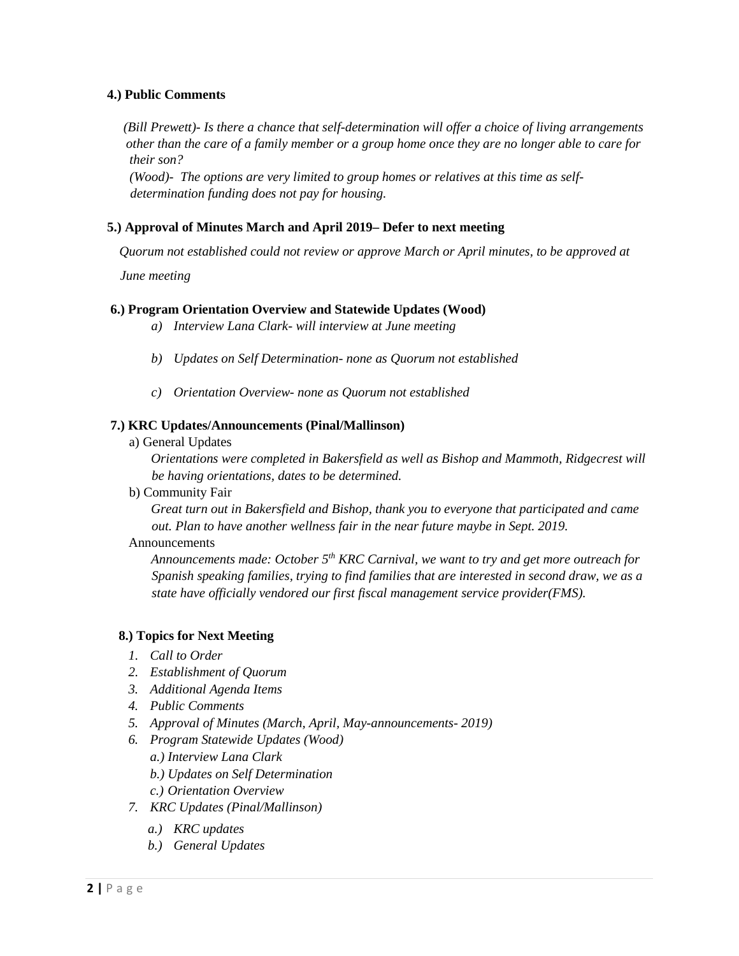### **4.) Public Comments**

*(Bill Prewett)- Is there a chance that self-determination will offer a choice of living arrangements other than the care of a family member or a group home once they are no longer able to care for their son?* 

*(Wood)- The options are very limited to group homes or relatives at this time as selfdetermination funding does not pay for housing.* 

### **5.) Approval of Minutes March and April 2019– Defer to next meeting**

*Quorum not established could not review or approve March or April minutes, to be approved at* 

*June meeting*

### **6.) Program Orientation Overview and Statewide Updates (Wood)**

*a) Interview Lana Clark- will interview at June meeting*

- *b) Updates on Self Determination- none as Quorum not established*
- *c) Orientation Overview- none as Quorum not established*

#### **7.) KRC Updates/Announcements (Pinal/Mallinson)**

a) General Updates

*Orientations were completed in Bakersfield as well as Bishop and Mammoth, Ridgecrest will be having orientations, dates to be determined.*

b) Community Fair

*Great turn out in Bakersfield and Bishop, thank you to everyone that participated and came out. Plan to have another wellness fair in the near future maybe in Sept. 2019.*

#### Announcements

*Announcements made: October 5th KRC Carnival, we want to try and get more outreach for Spanish speaking families, trying to find families that are interested in second draw, we as a state have officially vendored our first fiscal management service provider(FMS).*

#### **8.) Topics for Next Meeting**

- *1. Call to Order*
- *2. Establishment of Quorum*
- *3. Additional Agenda Items*
- *4. Public Comments*
- *5. Approval of Minutes (March, April, May-announcements- 2019)*
- *6. Program Statewide Updates (Wood)*
	- *a.) Interview Lana Clark*
	- *b.) Updates on Self Determination*
	- *c.) Orientation Overview*
- *7. KRC Updates (Pinal/Mallinson)*
	- *a.) KRC updates*
	- *b.) General Updates*